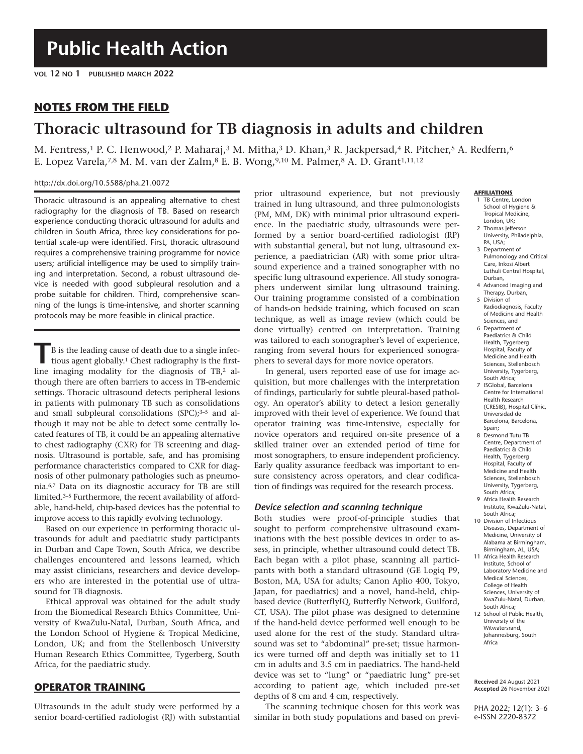## **NOTES FROM THE FIELD**

# **Thoracic ultrasound for TB diagnosis in adults and children**

M. Fentress,<sup>1</sup> P. C. Henwood,<sup>2</sup> P. Maharaj,<sup>3</sup> M. Mitha,<sup>3</sup> D. Khan,<sup>3</sup> R. Jackpersad,<sup>4</sup> R. Pitcher,<sup>5</sup> A. Redfern,<sup>6</sup> E. Lopez Varela,<sup>7,8</sup> M. M. van der Zalm,<sup>8</sup> E. B. Wong,<sup>9,10</sup> M. Palmer,<sup>8</sup> A. D. Grant<sup>1,11,12</sup>

#### http://dx.doi.org/10.5588/pha.21.0072

Thoracic ultrasound is an appealing alternative to chest radiography for the diagnosis of TB. Based on research experience conducting thoracic ultrasound for adults and children in South Africa, three key considerations for potential scale-up were identified. First, thoracic ultrasound requires a comprehensive training programme for novice users; artificial intelligence may be used to simplify training and interpretation. Second, a robust ultrasound device is needed with good subpleural resolution and a probe suitable for children. Third, comprehensive scanning of the lungs is time-intensive, and shorter scanning protocols may be more feasible in clinical practice.

**T**B is the leading cause of death due to a single infectious agent globally.1 Chest radiography is the firstline imaging modality for the diagnosis of TB,2 although there are often barriers to access in TB-endemic settings. Thoracic ultrasound detects peripheral lesions in patients with pulmonary TB such as consolidations and small subpleural consolidations  $(SPC);^{3-5}$  and although it may not be able to detect some centrally located features of TB, it could be an appealing alternative to chest radiography (CXR) for TB screening and diagnosis. Ultrasound is portable, safe, and has promising performance characteristics compared to CXR for diagnosis of other pulmonary pathologies such as pneumonia.6,7 Data on its diagnostic accuracy for TB are still limited.3–5 Furthermore, the recent availability of affordable, hand-held, chip-based devices has the potential to improve access to this rapidly evolving technology.

Based on our experience in performing thoracic ultrasounds for adult and paediatric study participants in Durban and Cape Town, South Africa, we describe challenges encountered and lessons learned, which may assist clinicians, researchers and device developers who are interested in the potential use of ultrasound for TB diagnosis.

Ethical approval was obtained for the adult study from the Biomedical Research Ethics Committee, University of KwaZulu-Natal, Durban, South Africa, and the London School of Hygiene & Tropical Medicine, London, UK; and from the Stellenbosch University Human Research Ethics Committee, Tygerberg, South Africa, for the paediatric study.

## **OPERATOR TRAINING**

Ultrasounds in the adult study were performed by a senior board-certified radiologist (RJ) with substantial prior ultrasound experience, but not previously trained in lung ultrasound, and three pulmonologists (PM, MM, DK) with minimal prior ultrasound experience. In the paediatric study, ultrasounds were performed by a senior board-certified radiologist (RP) with substantial general, but not lung, ultrasound experience, a paediatrician (AR) with some prior ultrasound experience and a trained sonographer with no specific lung ultrasound experience. All study sonographers underwent similar lung ultrasound training. Our training programme consisted of a combination of hands-on bedside training, which focused on scan technique, as well as image review (which could be done virtually) centred on interpretation. Training was tailored to each sonographer's level of experience, ranging from several hours for experienced sonographers to several days for more novice operators.

In general, users reported ease of use for image acquisition, but more challenges with the interpretation of findings, particularly for subtle pleural-based pathology. An operator's ability to detect a lesion generally improved with their level of experience. We found that operator training was time-intensive, especially for novice operators and required on-site presence of a skilled trainer over an extended period of time for most sonographers, to ensure independent proficiency. Early quality assurance feedback was important to ensure consistency across operators, and clear codification of findings was required for the research process.

#### *Device selection and scanning technique*

Both studies were proof-of-principle studies that sought to perform comprehensive ultrasound examinations with the best possible devices in order to assess, in principle, whether ultrasound could detect TB. Each began with a pilot phase, scanning all participants with both a standard ultrasound (GE Logiq P9, Boston, MA, USA for adults; Canon Aplio 400, Tokyo, Japan, for paediatrics) and a novel, hand-held, chipbased device (ButterflyIQ, Butterfly Network, Guilford, CT, USA). The pilot phase was designed to determine if the hand-held device performed well enough to be used alone for the rest of the study. Standard ultrasound was set to "abdominal" pre-set; tissue harmonics were turned off and depth was initially set to 11 cm in adults and 3.5 cm in paediatrics. The hand-held device was set to "lung" or "paediatric lung" pre-set according to patient age, which included pre-set depths of 8 cm and 4 cm, respectively.

The scanning technique chosen for this work was similar in both study populations and based on previ-

#### **AFFILIATIONS**

- 1 TB Centre, London School of Hygiene & Tropical Medicine, London, UK;
- 2 Thomas Jefferson University, Philadelphia, PA, USA;
- 3 Department of Pulmonology and Critical Care, Inkosi Albert Luthuli Central Hospital, Durban,
- 4 Advanced Imaging and Therapy, Durban, 5 Division of
- Radiodiagnosis, Faculty of Medicine and Health Sciences, and
- 6 Department of Paediatrics & Child Health, Tygerberg Hospital, Faculty of Medicine and Health Sciences, Stellenbosch University, Tygerberg, South Africa;
- 7 ISGlobal, Barcelona Centre for International Health Research (CRESIB), Hospital Clínic, Universidad de Barcelona, Barcelona, Spain;
- 8 Desmond Tutu TB Centre, Department of Paediatrics & Child Health, Tygerberg Hospital, Faculty of Medicine and Health Sciences, Stellenbosch University, Tygerberg, South Africa;
- 9 Africa Health Research Institute, KwaZulu-Natal, South Africa;
- 10 Division of Infectious Diseases, Department of Medicine, University of Alabama at Birmingham, Birmingham, AL, USA;
- 11 Africa Health Research Institute, School of Laboratory Medicine and Medical Sciences, College of Health Sciences, University of KwaZulu-Natal, Durban, South Africa;
- 12 School of Public Health, University of the Witwatersrand, Johannesburg, South Africa

**Received** 24 August 2021 **Accepted** 26 November 2021

PHA 2022; 12(1): 3–6 e-ISSN 2220-8372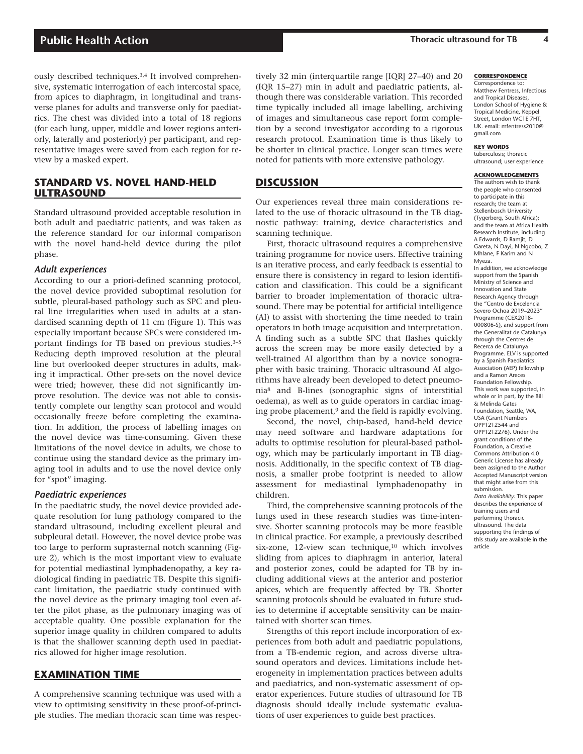ously described techniques.3,4 It involved comprehensive, systematic interrogation of each intercostal space, from apices to diaphragm, in longitudinal and transverse planes for adults and transverse only for paediatrics. The chest was divided into a total of 18 regions (for each lung, upper, middle and lower regions anteriorly, laterally and posteriorly) per participant, and representative images were saved from each region for review by a masked expert.

## **STANDARD VS. NOVEL HAND-HELD ULTRASOUND**

Standard ultrasound provided acceptable resolution in both adult and paediatric patients, and was taken as the reference standard for our informal comparison with the novel hand-held device during the pilot phase.

#### *Adult experiences*

According to our a priori-defined scanning protocol, the novel device provided suboptimal resolution for subtle, pleural-based pathology such as SPC and pleural line irregularities when used in adults at a standardised scanning depth of 11 cm (Figure 1). This was especially important because SPCs were considered important findings for TB based on previous studies.3–5 Reducing depth improved resolution at the pleural line but overlooked deeper structures in adults, making it impractical. Other pre-sets on the novel device were tried; however, these did not significantly improve resolution. The device was not able to consistently complete our lengthy scan protocol and would occasionally freeze before completing the examination. In addition, the process of labelling images on the novel device was time-consuming. Given these limitations of the novel device in adults, we chose to continue using the standard device as the primary imaging tool in adults and to use the novel device only for "spot" imaging.

#### *Paediatric experiences*

In the paediatric study, the novel device provided adequate resolution for lung pathology compared to the standard ultrasound, including excellent pleural and subpleural detail. However, the novel device probe was too large to perform suprasternal notch scanning (Figure 2), which is the most important view to evaluate for potential mediastinal lymphadenopathy, a key radiological finding in paediatric TB. Despite this significant limitation, the paediatric study continued with the novel device as the primary imaging tool even after the pilot phase, as the pulmonary imaging was of acceptable quality. One possible explanation for the superior image quality in children compared to adults is that the shallower scanning depth used in paediatrics allowed for higher image resolution.

## **EXAMINATION TIME**

A comprehensive scanning technique was used with a view to optimising sensitivity in these proof-of-principle studies. The median thoracic scan time was respectively 32 min (interquartile range [IQR] 27–40) and 20 (IQR 15–27) min in adult and paediatric patients, although there was considerable variation. This recorded time typically included all image labelling, archiving of images and simultaneous case report form completion by a second investigator according to a rigorous research protocol. Examination time is thus likely to be shorter in clinical practice. Longer scan times were noted for patients with more extensive pathology.

## **DISCUSSION**

Our experiences reveal three main considerations related to the use of thoracic ultrasound in the TB diagnostic pathway: training, device characteristics and scanning technique.

First, thoracic ultrasound requires a comprehensive training programme for novice users. Effective training is an iterative process, and early feedback is essential to ensure there is consistency in regard to lesion identification and classification. This could be a significant barrier to broader implementation of thoracic ultrasound. There may be potential for artificial intelligence (AI) to assist with shortening the time needed to train operators in both image acquisition and interpretation. A finding such as a subtle SPC that flashes quickly across the screen may be more easily detected by a well-trained AI algorithm than by a novice sonographer with basic training. Thoracic ultrasound AI algorithms have already been developed to detect pneumonia8 and B-lines (sonographic signs of interstitial oedema), as well as to guide operators in cardiac imaging probe placement, $9$  and the field is rapidly evolving.

Second, the novel, chip-based, hand-held device may need software and hardware adaptations for adults to optimise resolution for pleural-based pathology, which may be particularly important in TB diagnosis. Additionally, in the specific context of TB diagnosis, a smaller probe footprint is needed to allow assessment for mediastinal lymphadenopathy in children.

Third, the comprehensive scanning protocols of the lungs used in these research studies was time-intensive. Shorter scanning protocols may be more feasible in clinical practice. For example, a previously described six-zone, 12-view scan technique,10 which involves sliding from apices to diaphragm in anterior, lateral and posterior zones, could be adapted for TB by including additional views at the anterior and posterior apices, which are frequently affected by TB. Shorter scanning protocols should be evaluated in future studies to determine if acceptable sensitivity can be maintained with shorter scan times.

Strengths of this report include incorporation of experiences from both adult and paediatric populations, from a TB-endemic region, and across diverse ultrasound operators and devices. Limitations include heterogeneity in implementation practices between adults and paediatrics, and non-systematic assessment of operator experiences. Future studies of ultrasound for TB diagnosis should ideally include systematic evaluations of user experiences to guide best practices.

#### **CORRESPONDENCE**

Correspondence to: Matthew Fentress, Infectious and Tropical Diseases, London School of Hygiene & Tropical Medicine, Keppel Street, London WC1E 7HT, UK. email: mfentress2010@ gmail.com

#### **KEY WORDS**

tuberculosis; thoracic ultrasound; user experience

#### **ACKNOWLEDGEMENTS**

The authors wish to thank the people who consented to participate in this research; the team at Stellenbosch University (Tygerberg, South Africa); and the team at Africa Health Research Institute, including A Edwards, D Ramjit, D Gareta, N Dayi, N Ngcobo, Z Mhlane, F Karim and N Myeza. In addition, we acknowledge support from the Spanish Ministry of Science and Innovation and State Research Agency through the "Centro de Excelencia Severo Ochoa 2019–2023" Programme (CEX2018-000806-S), and support from the Generalitat de Catalunya through the Centres de Recerca de Catalunya Programme. ELV is supported by a Spanish Paediatrics Association (AEP) fellowship and a Ramon Areces Foundation Fellowship. This work was supported, in whole or in part, by the Bill & Melinda Gates Foundation, Seattle, WA, USA (Grant Numbers OPP1212544 and OPP1212276). Under the grant conditions of the Foundation, a Creative Commons Attribution 4.0 Generic License has already been assigned to the Author Accepted Manuscript version that might arise from this submission. *Data Availability:* This paper describes the experience of training users and performing thoracic ultrasound. The data supporting the findings of this study are available in the article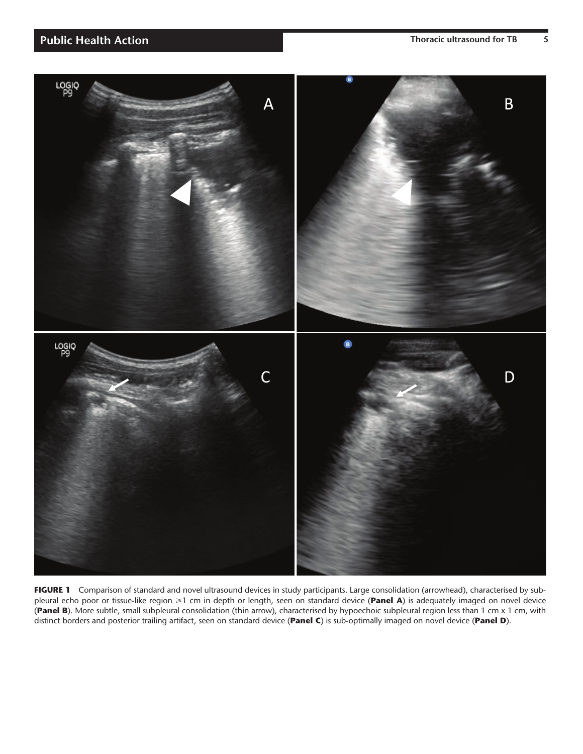

FIGURE 1 Comparison of standard and novel ultrasound devices in study participants. Large consolidation (arrowhead), characterised by subpleural echo poor or tissue-like region ≥1 cm in depth or length, seen on standard device (Panel A) is adequately imaged on novel device (**Panel B**). More subtle, small subpleural consolidation (thin arrow), characterised by hypoechoic subpleural region less than 1 cm x 1 cm, with distinct borders and posterior trailing artifact, seen on standard device (**Panel C**) is sub-optimally imaged on novel device (**Panel D**).